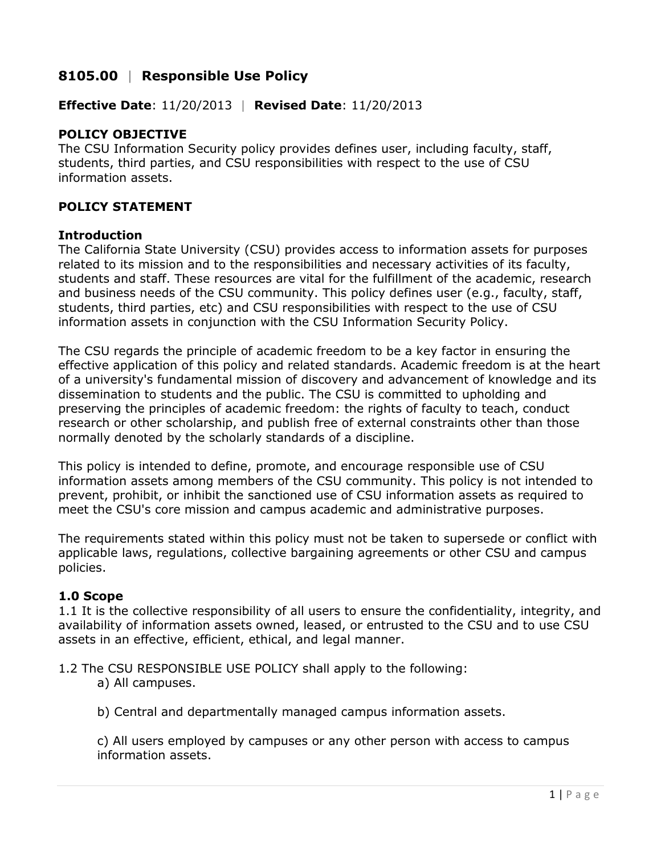# **8105.00** | **Responsible Use Policy**

**Effective Date**: 11/20/2013 | **Revised Date**: 11/20/2013

# **POLICY OBJECTIVE**

The CSU Information Security policy provides defines user, including faculty, staff, students, third parties, and CSU responsibilities with respect to the use of CSU information assets.

# **POLICY STATEMENT**

### **Introduction**

The California State University (CSU) provides access to information assets for purposes related to its mission and to the responsibilities and necessary activities of its faculty, students and staff. These resources are vital for the fulfillment of the academic, research and business needs of the CSU community. This policy defines user (e.g., faculty, staff, students, third parties, etc) and CSU responsibilities with respect to the use of CSU information assets in conjunction with the CSU Information Security Policy.

The CSU regards the principle of academic freedom to be a key factor in ensuring the effective application of this policy and related standards. Academic freedom is at the heart of a university's fundamental mission of discovery and advancement of knowledge and its dissemination to students and the public. The CSU is committed to upholding and preserving the principles of academic freedom: the rights of faculty to teach, conduct research or other scholarship, and publish free of external constraints other than those normally denoted by the scholarly standards of a discipline.

This policy is intended to define, promote, and encourage responsible use of CSU information assets among members of the CSU community. This policy is not intended to prevent, prohibit, or inhibit the sanctioned use of CSU information assets as required to meet the CSU's core mission and campus academic and administrative purposes.

The requirements stated within this policy must not be taken to supersede or conflict with applicable laws, regulations, collective bargaining agreements or other CSU and campus policies.

### **1.0 Scope**

1.1 It is the collective responsibility of all users to ensure the confidentiality, integrity, and availability of information assets owned, leased, or entrusted to the CSU and to use CSU assets in an effective, efficient, ethical, and legal manner.

1.2 The CSU RESPONSIBLE USE POLICY shall apply to the following:

a) All campuses.

b) Central and departmentally managed campus information assets.

c) All users employed by campuses or any other person with access to campus information assets.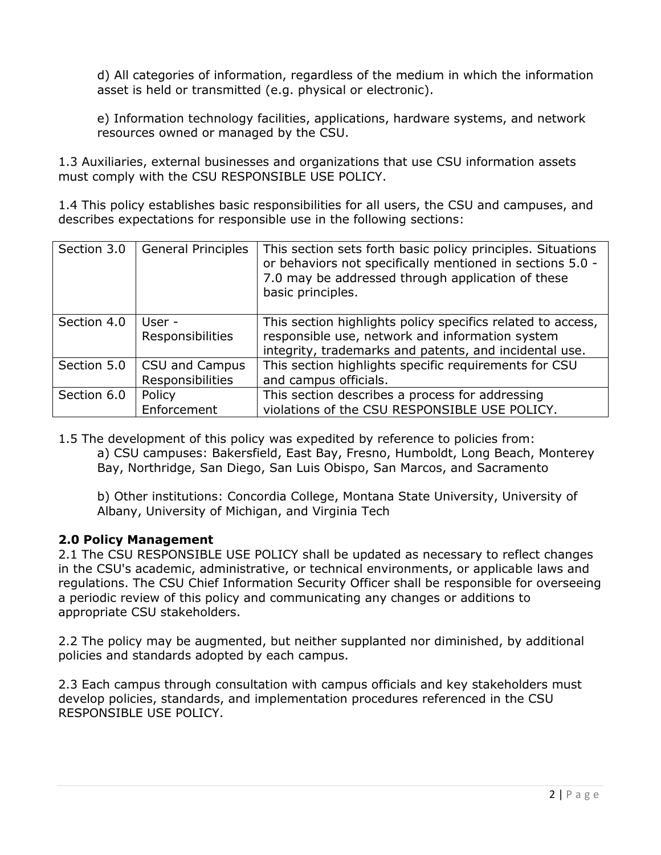d) All categories of information, regardless of the medium in which the information asset is held or transmitted (e.g. physical or electronic).

e) Information technology facilities, applications, hardware systems, and network resources owned or managed by the CSU.

1.3 Auxiliaries, external businesses and organizations that use CSU information assets must comply with the CSU RESPONSIBLE USE POLICY.

1.4 This policy establishes basic responsibilities for all users, the CSU and campuses, and describes expectations for responsible use in the following sections:

| Section 3.0 | <b>General Principles</b> | This section sets forth basic policy principles. Situations<br>or behaviors not specifically mentioned in sections 5.0 -<br>7.0 may be addressed through application of these<br>basic principles. |
|-------------|---------------------------|----------------------------------------------------------------------------------------------------------------------------------------------------------------------------------------------------|
| Section 4.0 | User -                    | This section highlights policy specifics related to access,                                                                                                                                        |
|             | Responsibilities          | responsible use, network and information system                                                                                                                                                    |
|             |                           | integrity, trademarks and patents, and incidental use.                                                                                                                                             |
| Section 5.0 | CSU and Campus            | This section highlights specific requirements for CSU                                                                                                                                              |
|             | Responsibilities          | and campus officials.                                                                                                                                                                              |
| Section 6.0 | Policy                    | This section describes a process for addressing                                                                                                                                                    |
|             | Enforcement               | violations of the CSU RESPONSIBLE USE POLICY.                                                                                                                                                      |

1.5 The development of this policy was expedited by reference to policies from:

a) CSU campuses: Bakersfield, East Bay, Fresno, Humboldt, Long Beach, Monterey Bay, Northridge, San Diego, San Luis Obispo, San Marcos, and Sacramento

b) Other institutions: Concordia College, Montana State University, University of Albany, University of Michigan, and Virginia Tech

### **2.0 Policy Management**

2.1 The CSU RESPONSIBLE USE POLICY shall be updated as necessary to reflect changes in the CSU's academic, administrative, or technical environments, or applicable laws and regulations. The CSU Chief Information Security Officer shall be responsible for overseeing a periodic review of this policy and communicating any changes or additions to appropriate CSU stakeholders.

2.2 The policy may be augmented, but neither supplanted nor diminished, by additional policies and standards adopted by each campus.

2.3 Each campus through consultation with campus officials and key stakeholders must develop policies, standards, and implementation procedures referenced in the CSU RESPONSIBLE USE POLICY.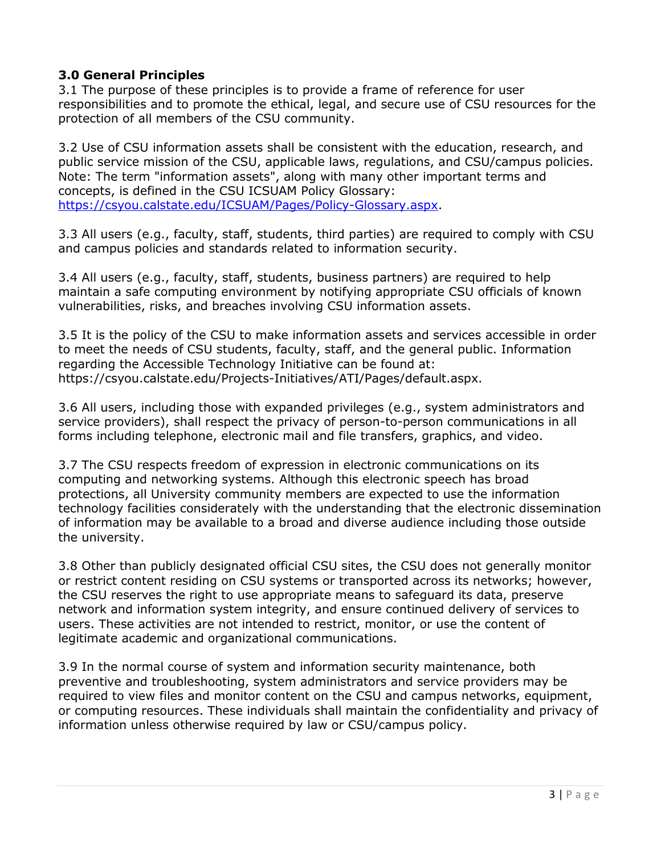# **3.0 General Principles**

3.1 The purpose of these principles is to provide a frame of reference for user responsibilities and to promote the ethical, legal, and secure use of CSU resources for the protection of all members of the CSU community.

3.2 Use of CSU information assets shall be consistent with the education, research, and public service mission of the CSU, applicable laws, regulations, and CSU/campus policies. Note: The term "information assets", along with many other important terms and concepts, is defined in the CSU ICSUAM Policy Glossary: [https://csyou.calstate.edu/ICSUAM/Pages/Policy-Glossary.aspx.](https://csyou.calstate.edu/ICSUAM/Pages/Policy-Glossary.aspx)

3.3 All users (e.g., faculty, staff, students, third parties) are required to comply with CSU and campus policies and standards related to information security.

3.4 All users (e.g., faculty, staff, students, business partners) are required to help maintain a safe computing environment by notifying appropriate CSU officials of known vulnerabilities, risks, and breaches involving CSU information assets.

3.5 It is the policy of the CSU to make information assets and services accessible in order to meet the needs of CSU students, faculty, staff, and the general public. Information regarding the Accessible Technology Initiative can be found at: https://csyou.calstate.edu/Projects-Initiatives/ATI/Pages/default.aspx.

3.6 All users, including those with expanded privileges (e.g., system administrators and service providers), shall respect the privacy of person-to-person communications in all forms including telephone, electronic mail and file transfers, graphics, and video.

3.7 The CSU respects freedom of expression in electronic communications on its computing and networking systems. Although this electronic speech has broad protections, all University community members are expected to use the information technology facilities considerately with the understanding that the electronic dissemination of information may be available to a broad and diverse audience including those outside the university.

3.8 Other than publicly designated official CSU sites, the CSU does not generally monitor or restrict content residing on CSU systems or transported across its networks; however, the CSU reserves the right to use appropriate means to safeguard its data, preserve network and information system integrity, and ensure continued delivery of services to users. These activities are not intended to restrict, monitor, or use the content of legitimate academic and organizational communications.

3.9 In the normal course of system and information security maintenance, both preventive and troubleshooting, system administrators and service providers may be required to view files and monitor content on the CSU and campus networks, equipment, or computing resources. These individuals shall maintain the confidentiality and privacy of information unless otherwise required by law or CSU/campus policy.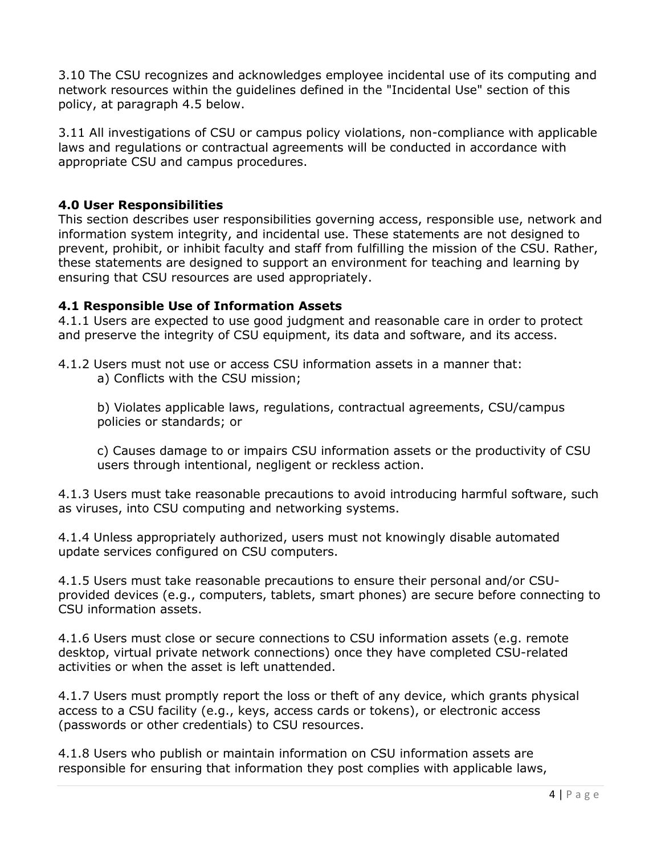3.10 The CSU recognizes and acknowledges employee incidental use of its computing and network resources within the guidelines defined in the "Incidental Use" section of this policy, at paragraph 4.5 below.

3.11 All investigations of CSU or campus policy violations, non-compliance with applicable laws and regulations or contractual agreements will be conducted in accordance with appropriate CSU and campus procedures.

### **4.0 User Responsibilities**

This section describes user responsibilities governing access, responsible use, network and information system integrity, and incidental use. These statements are not designed to prevent, prohibit, or inhibit faculty and staff from fulfilling the mission of the CSU. Rather, these statements are designed to support an environment for teaching and learning by ensuring that CSU resources are used appropriately.

#### **4.1 Responsible Use of Information Assets**

4.1.1 Users are expected to use good judgment and reasonable care in order to protect and preserve the integrity of CSU equipment, its data and software, and its access.

4.1.2 Users must not use or access CSU information assets in a manner that: a) Conflicts with the CSU mission;

b) Violates applicable laws, regulations, contractual agreements, CSU/campus policies or standards; or

c) Causes damage to or impairs CSU information assets or the productivity of CSU users through intentional, negligent or reckless action.

4.1.3 Users must take reasonable precautions to avoid introducing harmful software, such as viruses, into CSU computing and networking systems.

4.1.4 Unless appropriately authorized, users must not knowingly disable automated update services configured on CSU computers.

4.1.5 Users must take reasonable precautions to ensure their personal and/or CSUprovided devices (e.g., computers, tablets, smart phones) are secure before connecting to CSU information assets.

4.1.6 Users must close or secure connections to CSU information assets (e.g. remote desktop, virtual private network connections) once they have completed CSU-related activities or when the asset is left unattended.

4.1.7 Users must promptly report the loss or theft of any device, which grants physical access to a CSU facility (e.g., keys, access cards or tokens), or electronic access (passwords or other credentials) to CSU resources.

4.1.8 Users who publish or maintain information on CSU information assets are responsible for ensuring that information they post complies with applicable laws,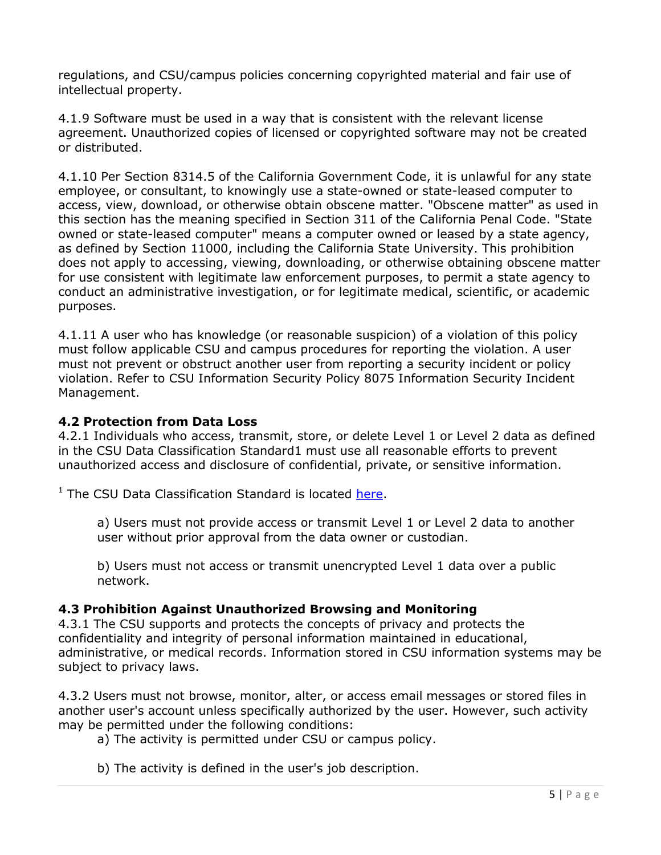regulations, and CSU/campus policies concerning copyrighted material and fair use of intellectual property.

4.1.9 Software must be used in a way that is consistent with the relevant license agreement. Unauthorized copies of licensed or copyrighted software may not be created or distributed.

4.1.10 Per Section 8314.5 of the California Government Code, it is unlawful for any state employee, or consultant, to knowingly use a state-owned or state-leased computer to access, view, download, or otherwise obtain obscene matter. "Obscene matter" as used in this section has the meaning specified in Section 311 of the California Penal Code. "State owned or state-leased computer" means a computer owned or leased by a state agency, as defined by Section 11000, including the California State University. This prohibition does not apply to accessing, viewing, downloading, or otherwise obtaining obscene matter for use consistent with legitimate law enforcement purposes, to permit a state agency to conduct an administrative investigation, or for legitimate medical, scientific, or academic purposes.

4.1.11 A user who has knowledge (or reasonable suspicion) of a violation of this policy must follow applicable CSU and campus procedures for reporting the violation. A user must not prevent or obstruct another user from reporting a security incident or policy violation. Refer to CSU Information Security Policy 8075 Information Security Incident Management.

# **4.2 Protection from Data Loss**

4.2.1 Individuals who access, transmit, store, or delete Level 1 or Level 2 data as defined in the CSU Data Classification Standard1 must use all reasonable efforts to prevent unauthorized access and disclosure of confidential, private, or sensitive information.

<sup>1</sup> The CSU Data Classification Standard is located [here.](https://csyou.calstate.edu/Policies/icsuam/Documents/8000/8065_FINAL_DRAFT_Data_Classification_CW_V4.pdf)

a) Users must not provide access or transmit Level 1 or Level 2 data to another user without prior approval from the data owner or custodian.

b) Users must not access or transmit unencrypted Level 1 data over a public network.

# **4.3 Prohibition Against Unauthorized Browsing and Monitoring**

4.3.1 The CSU supports and protects the concepts of privacy and protects the confidentiality and integrity of personal information maintained in educational, administrative, or medical records. Information stored in CSU information systems may be subject to privacy laws.

4.3.2 Users must not browse, monitor, alter, or access email messages or stored files in another user's account unless specifically authorized by the user. However, such activity may be permitted under the following conditions:

- a) The activity is permitted under CSU or campus policy.
- b) The activity is defined in the user's job description.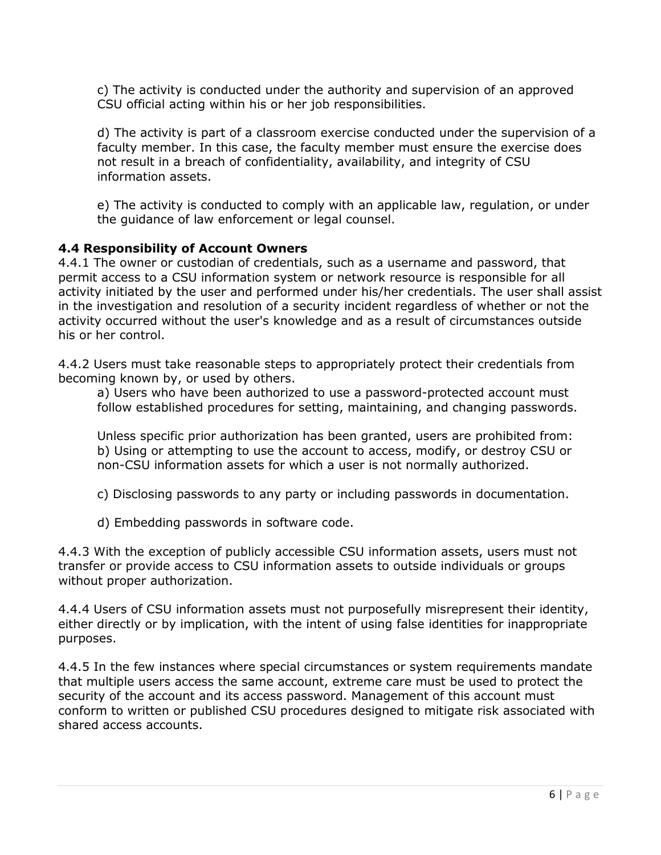c) The activity is conducted under the authority and supervision of an approved CSU official acting within his or her job responsibilities.

d) The activity is part of a classroom exercise conducted under the supervision of a faculty member. In this case, the faculty member must ensure the exercise does not result in a breach of confidentiality, availability, and integrity of CSU information assets.

e) The activity is conducted to comply with an applicable law, regulation, or under the guidance of law enforcement or legal counsel.

### **4.4 Responsibility of Account Owners**

4.4.1 The owner or custodian of credentials, such as a username and password, that permit access to a CSU information system or network resource is responsible for all activity initiated by the user and performed under his/her credentials. The user shall assist in the investigation and resolution of a security incident regardless of whether or not the activity occurred without the user's knowledge and as a result of circumstances outside his or her control.

4.4.2 Users must take reasonable steps to appropriately protect their credentials from becoming known by, or used by others.

a) Users who have been authorized to use a password-protected account must follow established procedures for setting, maintaining, and changing passwords.

Unless specific prior authorization has been granted, users are prohibited from: b) Using or attempting to use the account to access, modify, or destroy CSU or non-CSU information assets for which a user is not normally authorized.

- c) Disclosing passwords to any party or including passwords in documentation.
- d) Embedding passwords in software code.

4.4.3 With the exception of publicly accessible CSU information assets, users must not transfer or provide access to CSU information assets to outside individuals or groups without proper authorization.

4.4.4 Users of CSU information assets must not purposefully misrepresent their identity, either directly or by implication, with the intent of using false identities for inappropriate purposes.

4.4.5 In the few instances where special circumstances or system requirements mandate that multiple users access the same account, extreme care must be used to protect the security of the account and its access password. Management of this account must conform to written or published CSU procedures designed to mitigate risk associated with shared access accounts.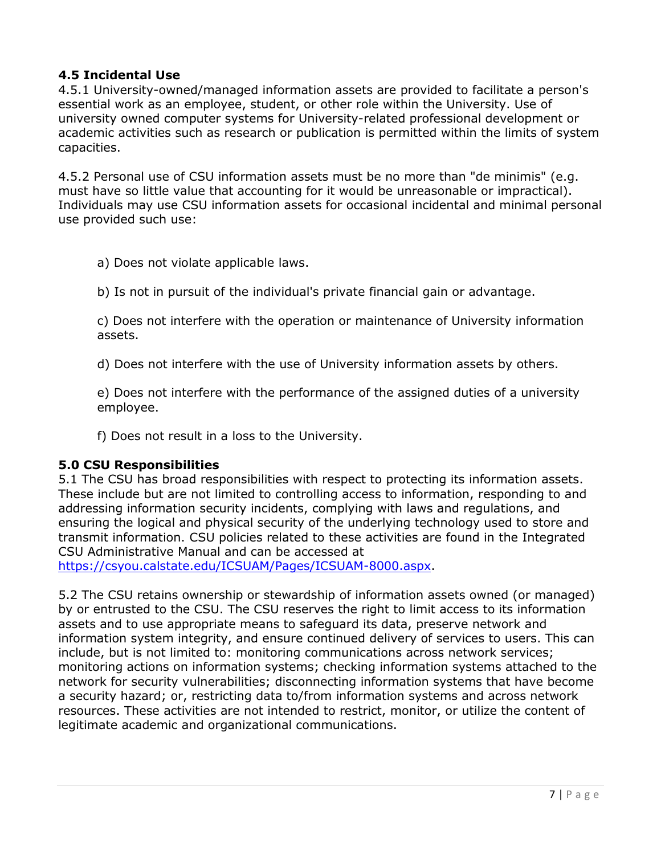# **4.5 Incidental Use**

4.5.1 University-owned/managed information assets are provided to facilitate a person's essential work as an employee, student, or other role within the University. Use of university owned computer systems for University-related professional development or academic activities such as research or publication is permitted within the limits of system capacities.

4.5.2 Personal use of CSU information assets must be no more than "de minimis" (e.g. must have so little value that accounting for it would be unreasonable or impractical). Individuals may use CSU information assets for occasional incidental and minimal personal use provided such use:

a) Does not violate applicable laws.

b) Is not in pursuit of the individual's private financial gain or advantage.

c) Does not interfere with the operation or maintenance of University information assets.

d) Does not interfere with the use of University information assets by others.

e) Does not interfere with the performance of the assigned duties of a university employee.

f) Does not result in a loss to the University.

#### **5.0 CSU Responsibilities**

5.1 The CSU has broad responsibilities with respect to protecting its information assets. These include but are not limited to controlling access to information, responding to and addressing information security incidents, complying with laws and regulations, and ensuring the logical and physical security of the underlying technology used to store and transmit information. CSU policies related to these activities are found in the Integrated CSU Administrative Manual and can be accessed at

[https://csyou.calstate.edu/ICSUAM/Pages/ICSUAM-8000.aspx.](https://csyou.calstate.edu/ICSUAM/Pages/ICSUAM-8000.aspx)

5.2 The CSU retains ownership or stewardship of information assets owned (or managed) by or entrusted to the CSU. The CSU reserves the right to limit access to its information assets and to use appropriate means to safeguard its data, preserve network and information system integrity, and ensure continued delivery of services to users. This can include, but is not limited to: monitoring communications across network services; monitoring actions on information systems; checking information systems attached to the network for security vulnerabilities; disconnecting information systems that have become a security hazard; or, restricting data to/from information systems and across network resources. These activities are not intended to restrict, monitor, or utilize the content of legitimate academic and organizational communications.